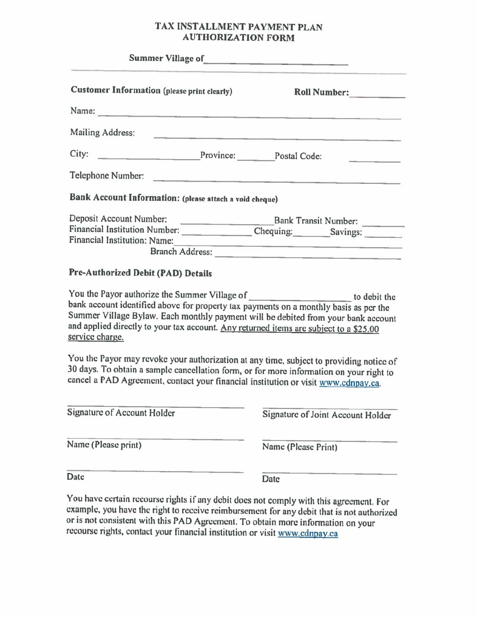## TAX INSTALLMENT PAYMENT PLAN AUTHORIZATION FORM

|                                                                                                                                                                                                                                      | TAX INSTALLMENT PAYMENT PLAN<br><b>AUTHORIZATION FORM</b>                                                                                                                                                                                 |
|--------------------------------------------------------------------------------------------------------------------------------------------------------------------------------------------------------------------------------------|-------------------------------------------------------------------------------------------------------------------------------------------------------------------------------------------------------------------------------------------|
| <u>in a complete the complete the complete the complete the complete the complete the complete the complete the complete the complete the complete the complete the complete the complete the complete the complete the complete</u> | the company of the company of the company of the company of the company of the company of the company of the company of the company of the company of the company of the company of the company of the company of the company             |
| <b>Customer Information (please print clearly)</b>                                                                                                                                                                                   | Roll Number:                                                                                                                                                                                                                              |
|                                                                                                                                                                                                                                      |                                                                                                                                                                                                                                           |
|                                                                                                                                                                                                                                      |                                                                                                                                                                                                                                           |
|                                                                                                                                                                                                                                      |                                                                                                                                                                                                                                           |
| Bank Account Information: (please attach a void cheque)                                                                                                                                                                              | Telephone Number:                                                                                                                                                                                                                         |
| Financial Institution: Name:                                                                                                                                                                                                         |                                                                                                                                                                                                                                           |
|                                                                                                                                                                                                                                      | Branch Address:                                                                                                                                                                                                                           |
| Pre-Authorized Debit (PAD) Details<br>and applied directly to your tax account. Any returned items are subject to a \$25.00<br>service charge.                                                                                       | You the Payor authorize the Summer Village of the state of the bank account identified above for property tax payments on a monthly basis as per the<br>Summer Village Bylaw. Each monthly payment will be debited from your bank account |
| cancel a PAD Agreement, contact your financial institution or visit www.cdnpay.ca.                                                                                                                                                   | You the Payor may revoke your authorization at any time, subject to providing notice of<br>30 days. To obtain a sample cancellation form, or for more information on your right to                                                        |
| Signature of Account Holder                                                                                                                                                                                                          | Signature of Joint Account Holder                                                                                                                                                                                                         |
| Name (Please print)                                                                                                                                                                                                                  | Name (Please Print)                                                                                                                                                                                                                       |

You have certain recourse rights if any debit does not comply with this agreement. For example, you have the right to receive reimbursement for any debit that is not authorized or is not consistent with this PAD Agreement.